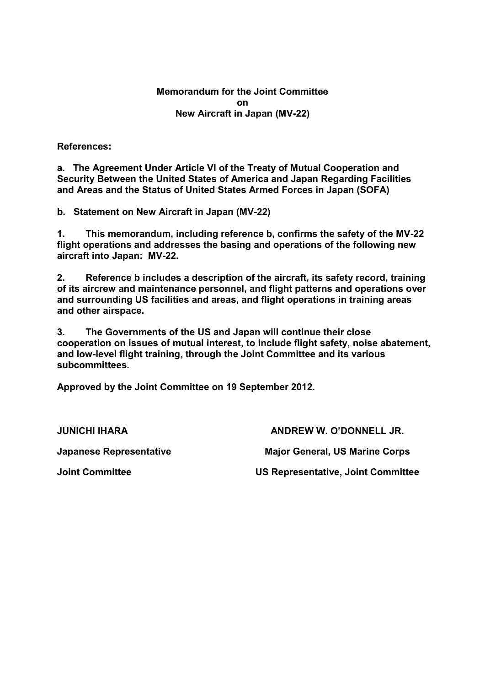**Memorandum for the Joint Committee on New Aircraft in Japan (MV-22)** 

**References:** 

**a. The Agreement Under Article VI of the Treaty of Mutual Cooperation and Security Between the United States of America and Japan Regarding Facilities and Areas and the Status of United States Armed Forces in Japan (SOFA)** 

**b. Statement on New Aircraft in Japan (MV-22)** 

**1. This memorandum, including reference b, confirms the safety of the MV-22 flight operations and addresses the basing and operations of the following new aircraft into Japan: MV-22.** 

**2. Reference b includes a description of the aircraft, its safety record, training of its aircrew and maintenance personnel, and flight patterns and operations over and surrounding US facilities and areas, and flight operations in training areas and other airspace.** 

**3. The Governments of the US and Japan will continue their close cooperation on issues of mutual interest, to include flight safety, noise abatement, and low-level flight training, through the Joint Committee and its various subcommittees.** 

**Approved by the Joint Committee on 19 September 2012.** 

**JUNICHI IHARA** 

**Japanese Representative** 

**ANDREW W. O'DONNELL JR. Major General, US Marine Corps** 

**Joint Committee** 

**US Representative, Joint Committee**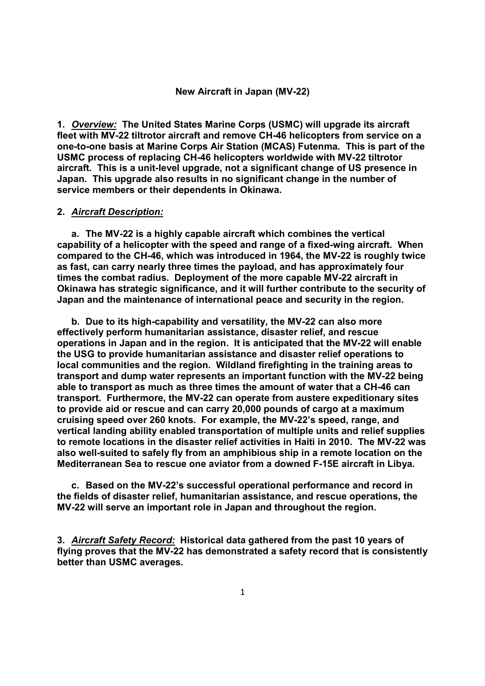#### **New Aircraft in Japan (MV-22)**

**1.** *Overview:* **The United States Marine Corps (USMC) will upgrade its aircraft fleet with MV-22 tiltrotor aircraft and remove CH-46 helicopters from service on a one-to-one basis at Marine Corps Air Station (MCAS) Futenma. This is part of the USMC process of replacing CH-46 helicopters worldwide with MV-22 tiltrotor aircraft. This is a unit-level upgrade, not a significant change of US presence in Japan. This upgrade also results in no significant change in the number of service members or their dependents in Okinawa.** 

### **2.** *Aircraft Description:*

**a. The MV-22 is a highly capable aircraft which combines the vertical capability of a helicopter with the speed and range of a fixed-wing aircraft. When compared to the CH-46, which was introduced in 1964, the MV-22 is roughly twice as fast, can carry nearly three times the payload, and has approximately four times the combat radius. Deployment of the more capable MV-22 aircraft in Okinawa has strategic significance, and it will further contribute to the security of Japan and the maintenance of international peace and security in the region.** 

**b. Due to its high-capability and versatility, the MV-22 can also more effectively perform humanitarian assistance, disaster relief, and rescue operations in Japan and in the region. It is anticipated that the MV-22 will enable the USG to provide humanitarian assistance and disaster relief operations to local communities and the region. Wildland firefighting in the training areas to transport and dump water represents an important function with the MV-22 being able to transport as much as three times the amount of water that a CH-46 can transport. Furthermore, the MV-22 can operate from austere expeditionary sites to provide aid or rescue and can carry 20,000 pounds of cargo at a maximum cruising speed over 260 knots. For example, the MV-22's speed, range, and vertical landing ability enabled transportation of multiple units and relief supplies to remote locations in the disaster relief activities in Haiti in 2010. The MV-22 was also well-suited to safely fly from an amphibious ship in a remote location on the Mediterranean Sea to rescue one aviator from a downed F-15E aircraft in Libya.** 

**c. Based on the MV-22's successful operational performance and record in the fields of disaster relief, humanitarian assistance, and rescue operations, the MV-22 will serve an important role in Japan and throughout the region.** 

**3.** *Aircraft Safety Record:* **Historical data gathered from the past 10 years of flying proves that the MV-22 has demonstrated a safety record that is consistently better than USMC averages.**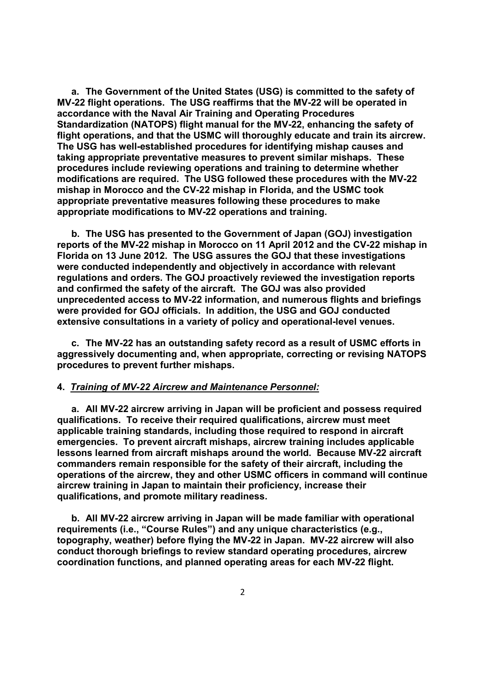**a. The Government of the United States (USG) is committed to the safety of MV-22 flight operations. The USG reaffirms that the MV-22 will be operated in accordance with the Naval Air Training and Operating Procedures Standardization (NATOPS) flight manual for the MV-22, enhancing the safety of flight operations, and that the USMC will thoroughly educate and train its aircrew. The USG has well-established procedures for identifying mishap causes and taking appropriate preventative measures to prevent similar mishaps. These procedures include reviewing operations and training to determine whether modifications are required. The USG followed these procedures with the MV-22 mishap in Morocco and the CV-22 mishap in Florida, and the USMC took appropriate preventative measures following these procedures to make appropriate modifications to MV-22 operations and training.** 

**b. The USG has presented to the Government of Japan (GOJ) investigation reports of the MV-22 mishap in Morocco on 11 April 2012 and the CV-22 mishap in Florida on 13 June 2012. The USG assures the GOJ that these investigations were conducted independently and objectively in accordance with relevant regulations and orders. The GOJ proactively reviewed the investigation reports and confirmed the safety of the aircraft. The GOJ was also provided unprecedented access to MV-22 information, and numerous flights and briefings were provided for GOJ officials. In addition, the USG and GOJ conducted extensive consultations in a variety of policy and operational-level venues.** 

**c. The MV-22 has an outstanding safety record as a result of USMC efforts in aggressively documenting and, when appropriate, correcting or revising NATOPS procedures to prevent further mishaps.** 

### **4.** *Training of MV-22 Aircrew and Maintenance Personnel:*

**a. All MV-22 aircrew arriving in Japan will be proficient and possess required qualifications. To receive their required qualifications, aircrew must meet applicable training standards, including those required to respond in aircraft emergencies. To prevent aircraft mishaps, aircrew training includes applicable lessons learned from aircraft mishaps around the world. Because MV-22 aircraft commanders remain responsible for the safety of their aircraft, including the operations of the aircrew, they and other USMC officers in command will continue aircrew training in Japan to maintain their proficiency, increase their qualifications, and promote military readiness.** 

**b. All MV-22 aircrew arriving in Japan will be made familiar with operational requirements (i.e., "Course Rules") and any unique characteristics (e.g., topography, weather) before flying the MV-22 in Japan. MV-22 aircrew will also conduct thorough briefings to review standard operating procedures, aircrew coordination functions, and planned operating areas for each MV-22 flight.**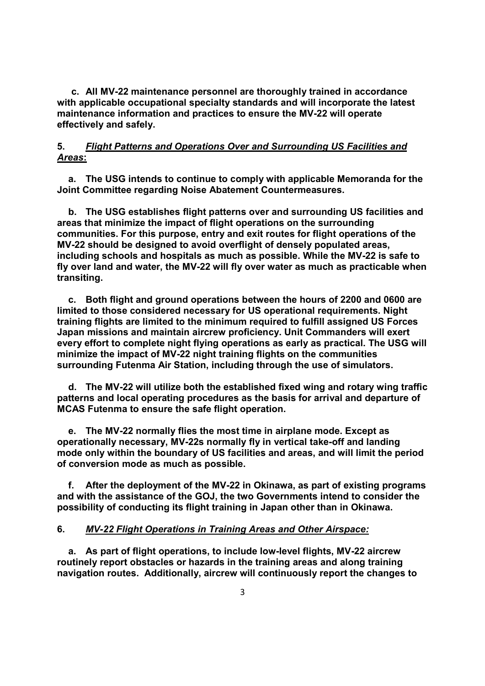**c. All MV-22 maintenance personnel are thoroughly trained in accordance with applicable occupational specialty standards and will incorporate the latest maintenance information and practices to ensure the MV-22 will operate effectively and safely.** 

# **5.** *Flight Patterns and Operations Over and Surrounding US Facilities and Areas***:**

**a. The USG intends to continue to comply with applicable Memoranda for the Joint Committee regarding Noise Abatement Countermeasures.** 

**b. The USG establishes flight patterns over and surrounding US facilities and areas that minimize the impact of flight operations on the surrounding communities. For this purpose, entry and exit routes for flight operations of the MV-22 should be designed to avoid overflight of densely populated areas, including schools and hospitals as much as possible. While the MV-22 is safe to fly over land and water, the MV-22 will fly over water as much as practicable when transiting.** 

**c. Both flight and ground operations between the hours of 2200 and 0600 are limited to those considered necessary for US operational requirements. Night training flights are limited to the minimum required to fulfill assigned US Forces Japan missions and maintain aircrew proficiency. Unit Commanders will exert every effort to complete night flying operations as early as practical. The USG will minimize the impact of MV-22 night training flights on the communities surrounding Futenma Air Station, including through the use of simulators.** 

**d. The MV-22 will utilize both the established fixed wing and rotary wing traffic patterns and local operating procedures as the basis for arrival and departure of MCAS Futenma to ensure the safe flight operation.** 

**e. The MV-22 normally flies the most time in airplane mode. Except as operationally necessary, MV-22s normally fly in vertical take-off and landing mode only within the boundary of US facilities and areas, and will limit the period of conversion mode as much as possible.** 

**f. After the deployment of the MV-22 in Okinawa, as part of existing programs and with the assistance of the GOJ, the two Governments intend to consider the possibility of conducting its flight training in Japan other than in Okinawa.** 

## **6.** *MV-22 Flight Operations in Training Areas and Other Airspace:*

**a. As part of flight operations, to include low-level flights, MV-22 aircrew routinely report obstacles or hazards in the training areas and along training navigation routes. Additionally, aircrew will continuously report the changes to**